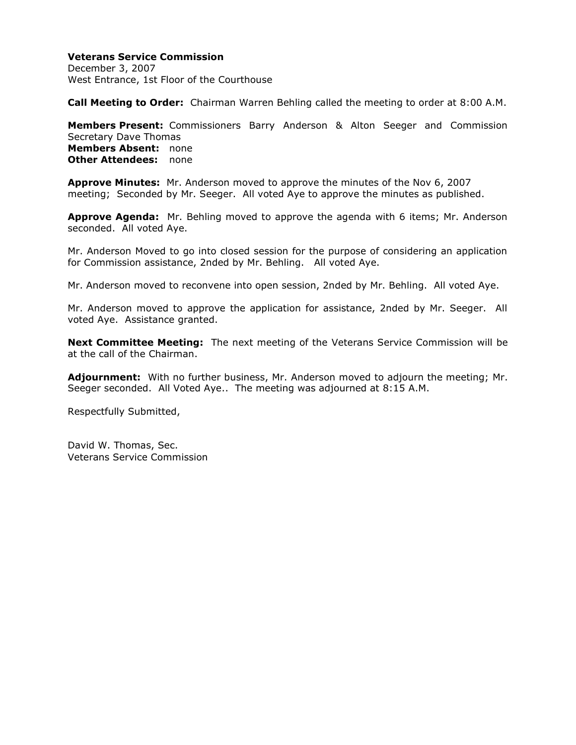# **Veterans Service Commission**

December 3, 2007 West Entrance, 1st Floor of the Courthouse

**Call Meeting to Order:** Chairman Warren Behling called the meeting to order at 8:00 A.M.

**Members Present:** Commissioners Barry Anderson & Alton Seeger and Commission Secretary Dave Thomas **Members Absent:** none **Other Attendees:** none

**Approve Minutes:** Mr. Anderson moved to approve the minutes of the Nov 6, 2007 meeting; Seconded by Mr. Seeger. All voted Aye to approve the minutes as published.

**Approve Agenda:** Mr. Behling moved to approve the agenda with 6 items; Mr. Anderson seconded. All voted Aye.

Mr. Anderson Moved to go into closed session for the purpose of considering an application for Commission assistance, 2nded by Mr. Behling. All voted Aye.

Mr. Anderson moved to reconvene into open session, 2nded by Mr. Behling. All voted Aye.

Mr. Anderson moved to approve the application for assistance, 2nded by Mr. Seeger. All voted Aye. Assistance granted.

**Next Committee Meeting:** The next meeting of the Veterans Service Commission will be at the call of the Chairman.

**Adjournment:** With no further business, Mr. Anderson moved to adjourn the meeting; Mr. Seeger seconded. All Voted Aye.. The meeting was adjourned at 8:15 A.M.

Respectfully Submitted,

David W. Thomas, Sec. Veterans Service Commission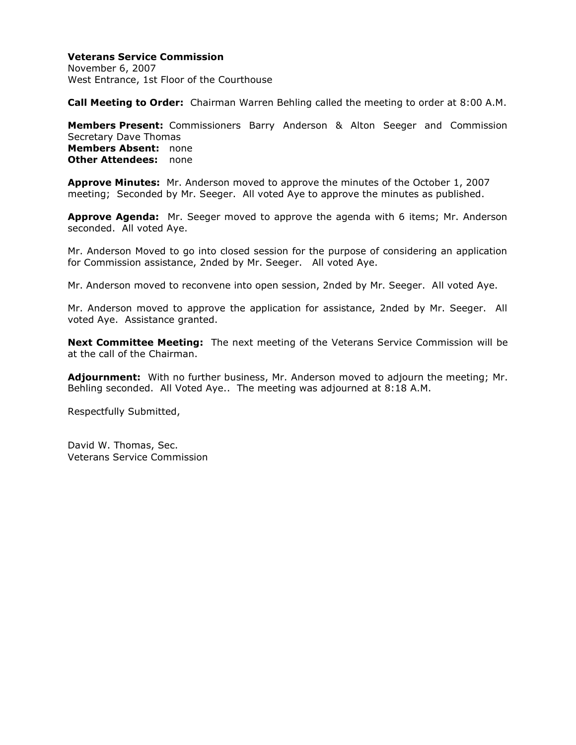# **Veterans Service Commission**

November 6, 2007 West Entrance, 1st Floor of the Courthouse

**Call Meeting to Order:** Chairman Warren Behling called the meeting to order at 8:00 A.M.

**Members Present:** Commissioners Barry Anderson & Alton Seeger and Commission Secretary Dave Thomas **Members Absent:** none **Other Attendees:** none

**Approve Minutes:** Mr. Anderson moved to approve the minutes of the October 1, 2007 meeting; Seconded by Mr. Seeger. All voted Aye to approve the minutes as published.

**Approve Agenda:** Mr. Seeger moved to approve the agenda with 6 items; Mr. Anderson seconded. All voted Aye.

Mr. Anderson Moved to go into closed session for the purpose of considering an application for Commission assistance, 2nded by Mr. Seeger. All voted Aye.

Mr. Anderson moved to reconvene into open session, 2nded by Mr. Seeger. All voted Aye.

Mr. Anderson moved to approve the application for assistance, 2nded by Mr. Seeger. All voted Aye. Assistance granted.

**Next Committee Meeting:** The next meeting of the Veterans Service Commission will be at the call of the Chairman.

**Adjournment:** With no further business, Mr. Anderson moved to adjourn the meeting; Mr. Behling seconded. All Voted Aye.. The meeting was adjourned at 8:18 A.M.

Respectfully Submitted,

David W. Thomas, Sec. Veterans Service Commission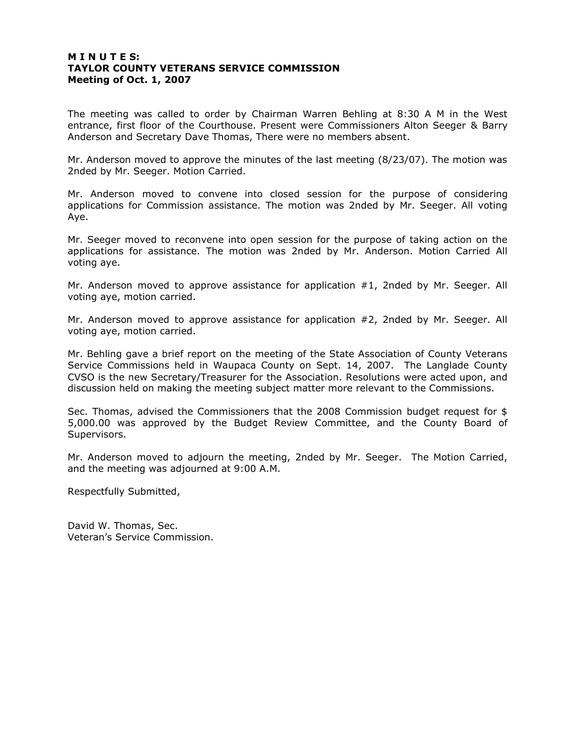### **M I N U T E S: TAYLOR COUNTY VETERANS SERVICE COMMISSION Meeting of Oct. 1, 2007**

The meeting was called to order by Chairman Warren Behling at 8:30 A M in the West entrance, first floor of the Courthouse. Present were Commissioners Alton Seeger & Barry Anderson and Secretary Dave Thomas, There were no members absent.

Mr. Anderson moved to approve the minutes of the last meeting (8/23/07). The motion was 2nded by Mr. Seeger. Motion Carried.

Mr. Anderson moved to convene into closed session for the purpose of considering applications for Commission assistance. The motion was 2nded by Mr. Seeger. All voting Aye.

Mr. Seeger moved to reconvene into open session for the purpose of taking action on the applications for assistance. The motion was 2nded by Mr. Anderson. Motion Carried All voting aye.

Mr. Anderson moved to approve assistance for application #1, 2nded by Mr. Seeger. All voting aye, motion carried.

Mr. Anderson moved to approve assistance for application #2, 2nded by Mr. Seeger. All voting aye, motion carried.

Mr. Behling gave a brief report on the meeting of the State Association of County Veterans Service Commissions held in Waupaca County on Sept. 14, 2007. The Langlade County CVSO is the new Secretary/Treasurer for the Association. Resolutions were acted upon, and discussion held on making the meeting subject matter more relevant to the Commissions.

Sec. Thomas, advised the Commissioners that the 2008 Commission budget request for \$ 5,000.00 was approved by the Budget Review Committee, and the County Board of Supervisors.

Mr. Anderson moved to adjourn the meeting, 2nded by Mr. Seeger. The Motion Carried, and the meeting was adjourned at 9:00 A.M.

Respectfully Submitted,

David W. Thomas, Sec. Veteran's Service Commission.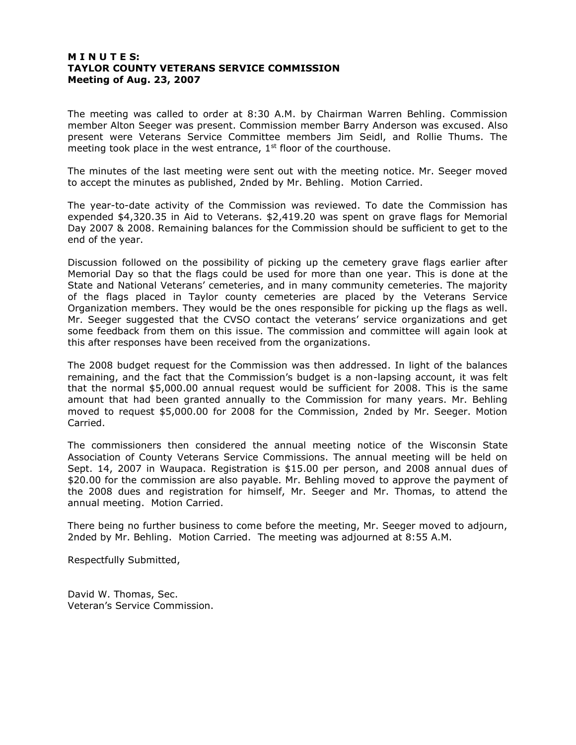### **M I N U T E S: TAYLOR COUNTY VETERANS SERVICE COMMISSION Meeting of Aug. 23, 2007**

The meeting was called to order at 8:30 A.M. by Chairman Warren Behling. Commission member Alton Seeger was present. Commission member Barry Anderson was excused. Also present were Veterans Service Committee members Jim Seidl, and Rollie Thums. The meeting took place in the west entrance,  $1<sup>st</sup>$  floor of the courthouse.

The minutes of the last meeting were sent out with the meeting notice. Mr. Seeger moved to accept the minutes as published, 2nded by Mr. Behling. Motion Carried.

The year-to-date activity of the Commission was reviewed. To date the Commission has expended \$4,320.35 in Aid to Veterans. \$2,419.20 was spent on grave flags for Memorial Day 2007 & 2008. Remaining balances for the Commission should be sufficient to get to the end of the year.

Discussion followed on the possibility of picking up the cemetery grave flags earlier after Memorial Day so that the flags could be used for more than one year. This is done at the State and National Veterans' cemeteries, and in many community cemeteries. The majority of the flags placed in Taylor county cemeteries are placed by the Veterans Service Organization members. They would be the ones responsible for picking up the flags as well. Mr. Seeger suggested that the CVSO contact the veterans' service organizations and get some feedback from them on this issue. The commission and committee will again look at this after responses have been received from the organizations.

The 2008 budget request for the Commission was then addressed. In light of the balances remaining, and the fact that the Commission's budget is a non-lapsing account, it was felt that the normal \$5,000.00 annual request would be sufficient for 2008. This is the same amount that had been granted annually to the Commission for many years. Mr. Behling moved to request \$5,000.00 for 2008 for the Commission, 2nded by Mr. Seeger. Motion Carried.

The commissioners then considered the annual meeting notice of the Wisconsin State Association of County Veterans Service Commissions. The annual meeting will be held on Sept. 14, 2007 in Waupaca. Registration is \$15.00 per person, and 2008 annual dues of \$20.00 for the commission are also payable. Mr. Behling moved to approve the payment of the 2008 dues and registration for himself, Mr. Seeger and Mr. Thomas, to attend the annual meeting. Motion Carried.

There being no further business to come before the meeting, Mr. Seeger moved to adjourn, 2nded by Mr. Behling. Motion Carried. The meeting was adjourned at 8:55 A.M.

Respectfully Submitted,

David W. Thomas, Sec. Veteran's Service Commission.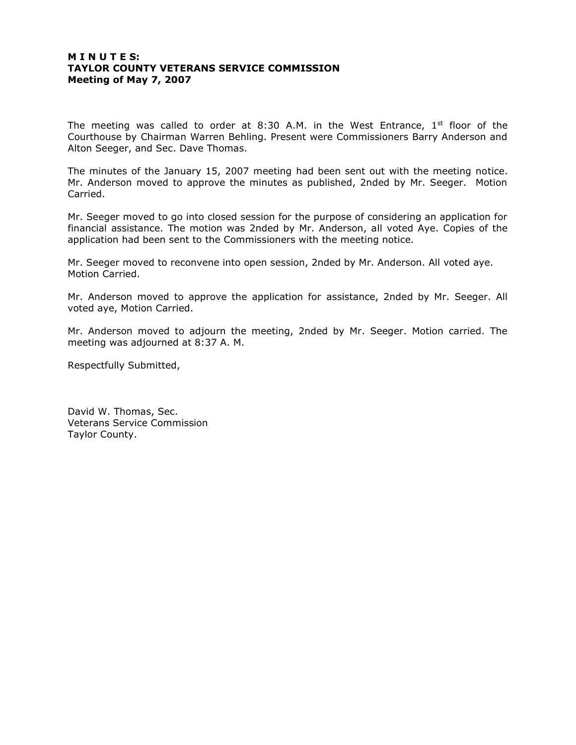### **M I N U T E S: TAYLOR COUNTY VETERANS SERVICE COMMISSION Meeting of May 7, 2007**

The meeting was called to order at 8:30 A.M. in the West Entrance,  $1^{st}$  floor of the Courthouse by Chairman Warren Behling. Present were Commissioners Barry Anderson and Alton Seeger, and Sec. Dave Thomas.

The minutes of the January 15, 2007 meeting had been sent out with the meeting notice. Mr. Anderson moved to approve the minutes as published, 2nded by Mr. Seeger. Motion Carried.

Mr. Seeger moved to go into closed session for the purpose of considering an application for financial assistance. The motion was 2nded by Mr. Anderson, all voted Aye. Copies of the application had been sent to the Commissioners with the meeting notice.

Mr. Seeger moved to reconvene into open session, 2nded by Mr. Anderson. All voted aye. Motion Carried.

Mr. Anderson moved to approve the application for assistance, 2nded by Mr. Seeger. All voted aye, Motion Carried.

Mr. Anderson moved to adjourn the meeting, 2nded by Mr. Seeger. Motion carried. The meeting was adjourned at 8:37 A. M.

Respectfully Submitted,

David W. Thomas, Sec. Veterans Service Commission Taylor County.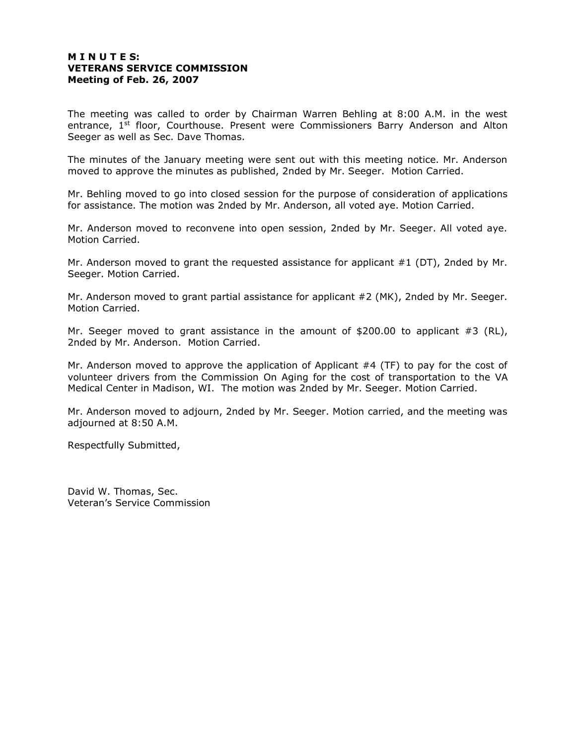# **M I N U T E S: VETERANS SERVICE COMMISSION Meeting of Feb. 26, 2007**

The meeting was called to order by Chairman Warren Behling at 8:00 A.M. in the west entrance,  $1<sup>st</sup>$  floor, Courthouse. Present were Commissioners Barry Anderson and Alton Seeger as well as Sec. Dave Thomas.

The minutes of the January meeting were sent out with this meeting notice. Mr. Anderson moved to approve the minutes as published, 2nded by Mr. Seeger. Motion Carried.

Mr. Behling moved to go into closed session for the purpose of consideration of applications for assistance. The motion was 2nded by Mr. Anderson, all voted aye. Motion Carried.

Mr. Anderson moved to reconvene into open session, 2nded by Mr. Seeger. All voted aye. Motion Carried.

Mr. Anderson moved to grant the requested assistance for applicant  $#1$  (DT), 2nded by Mr. Seeger. Motion Carried.

Mr. Anderson moved to grant partial assistance for applicant #2 (MK), 2nded by Mr. Seeger. Motion Carried.

Mr. Seeger moved to grant assistance in the amount of \$200.00 to applicant #3 (RL), 2nded by Mr. Anderson. Motion Carried.

Mr. Anderson moved to approve the application of Applicant #4 (TF) to pay for the cost of volunteer drivers from the Commission On Aging for the cost of transportation to the VA Medical Center in Madison, WI. The motion was 2nded by Mr. Seeger. Motion Carried.

Mr. Anderson moved to adjourn, 2nded by Mr. Seeger. Motion carried, and the meeting was adjourned at 8:50 A.M.

Respectfully Submitted,

David W. Thomas, Sec. Veteran's Service Commission